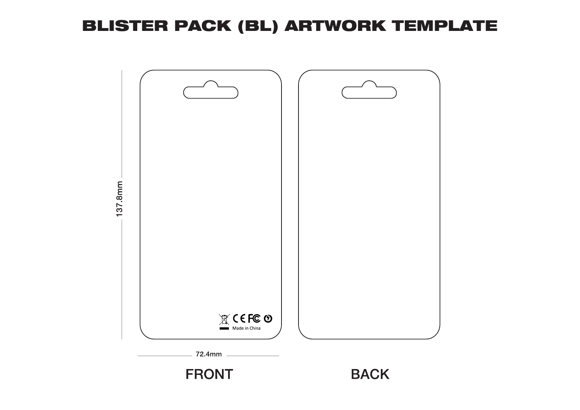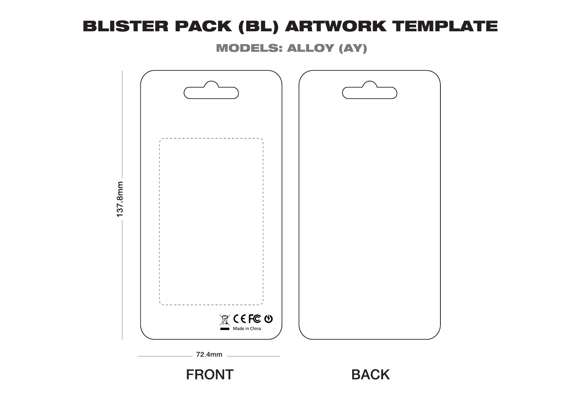MODELS: ALLOY (AY)

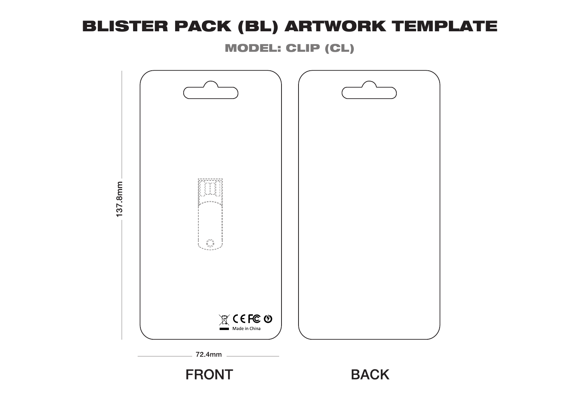MODEL: CLIP (CL)

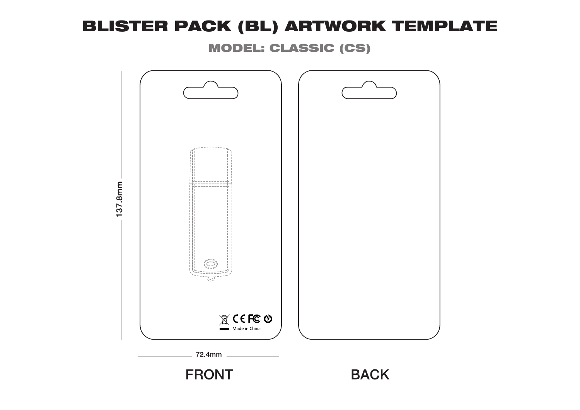MODEL: CLASSIC (CS)

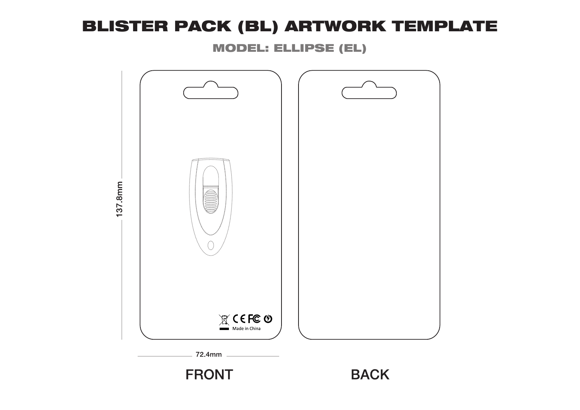MODEL: ELLIPSE (EL)

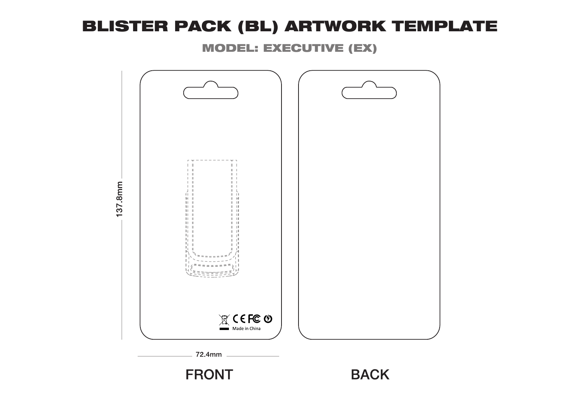MODEL: EXECUTIVE (EX)

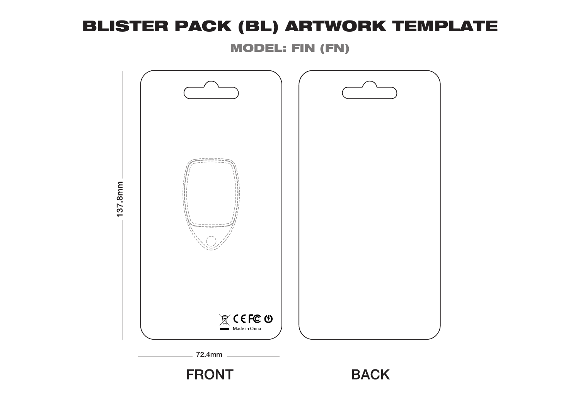MODEL: FIN (FN)

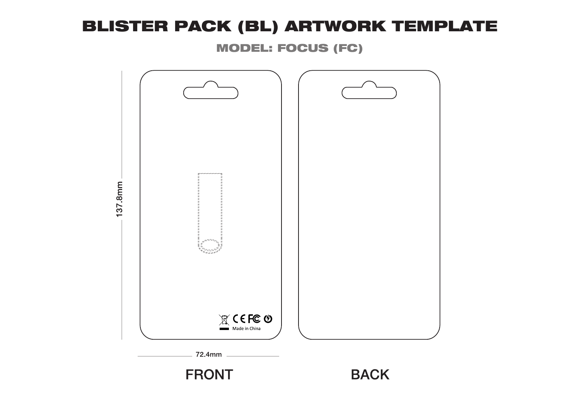MODEL: FOCUS (FC)

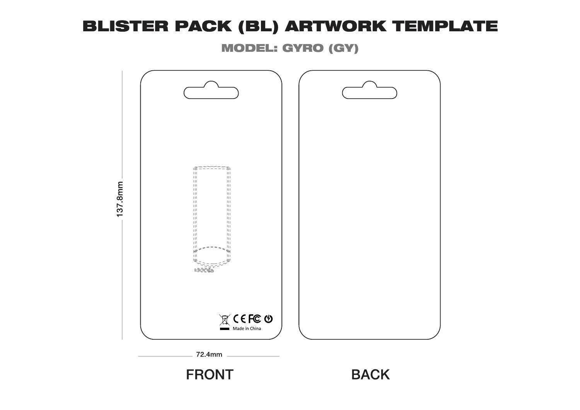MODEL: GYRO (GY)

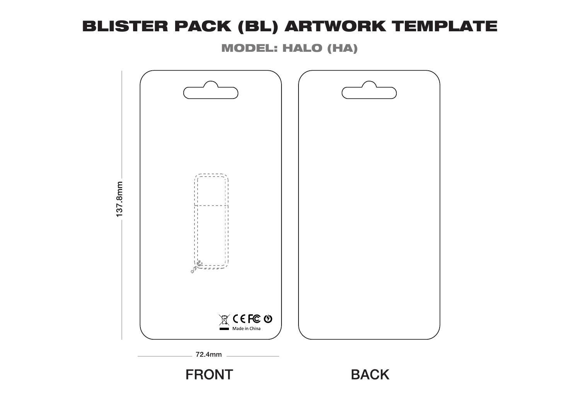MODEL: HALO (HA)

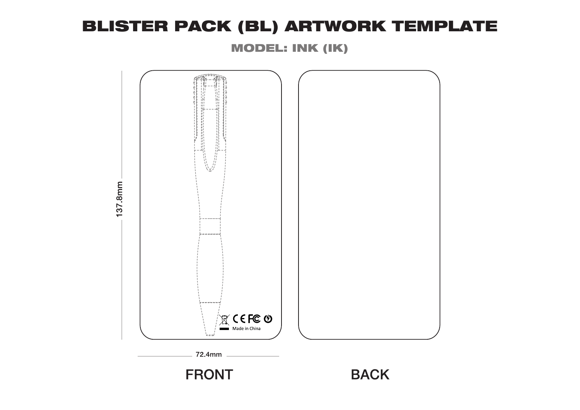MODEL: INK (IK)

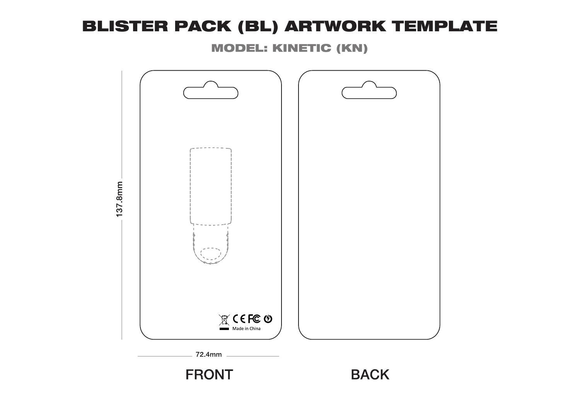MODEL: KINETIC (KN)

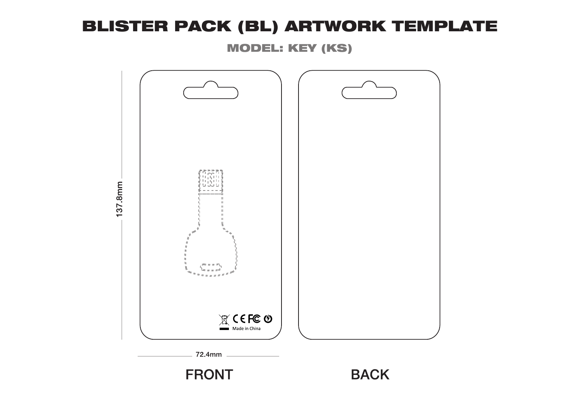MODEL: KEY (KS)

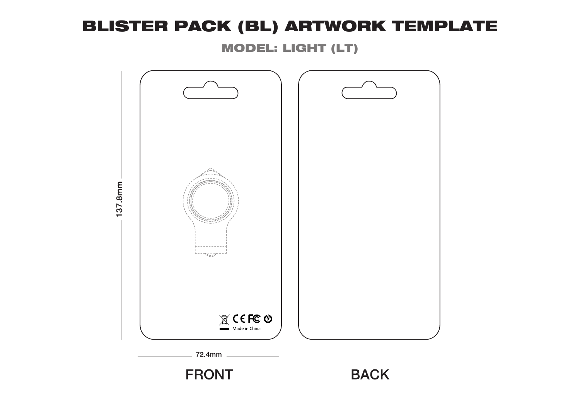MODEL: LIGHT (LT)

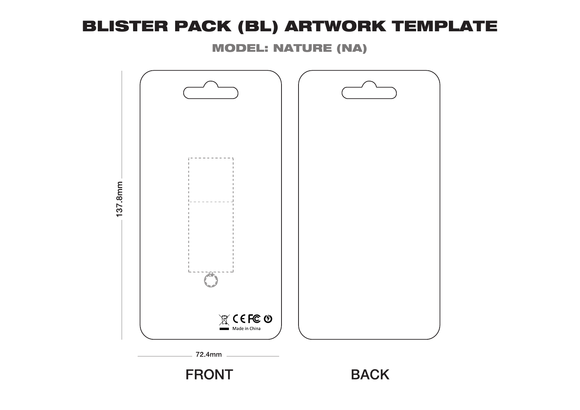MODEL: NATURE (NA)

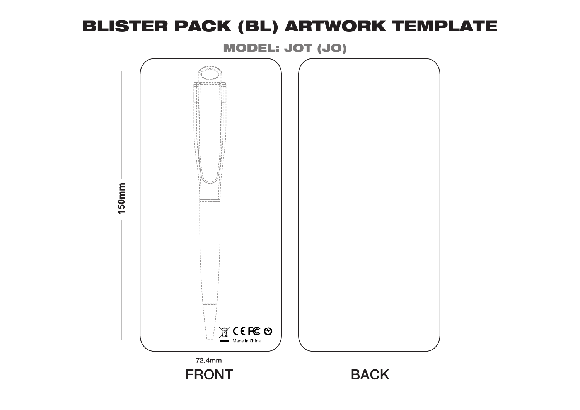MODEL: JOT (JO)

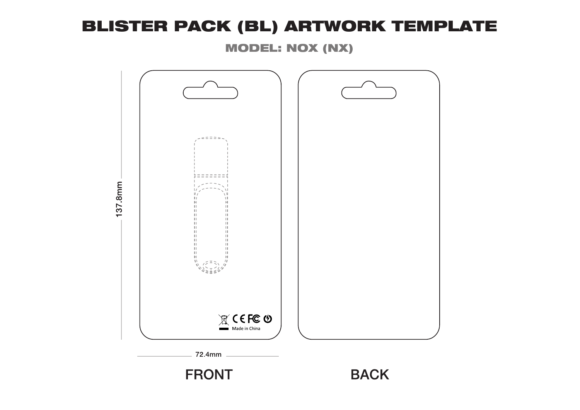MODEL: NOX (NX)

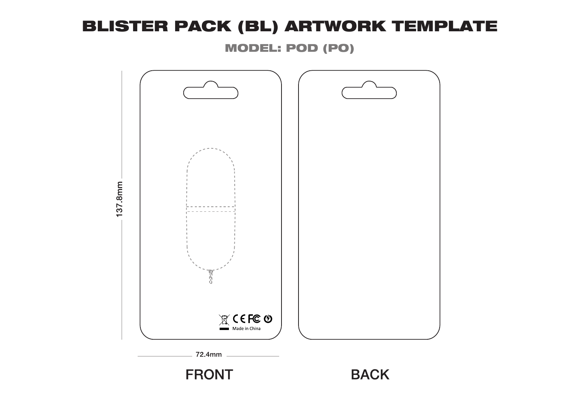MODEL: POD (PO)

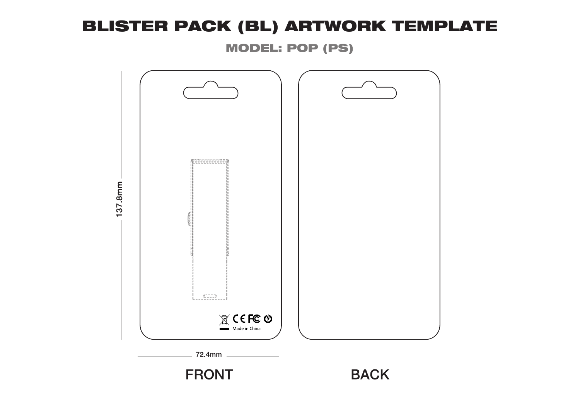MODEL: POP (PS)

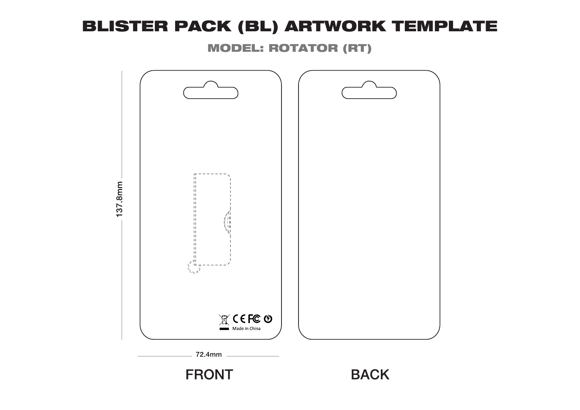MODEL: ROTATOR (RT)

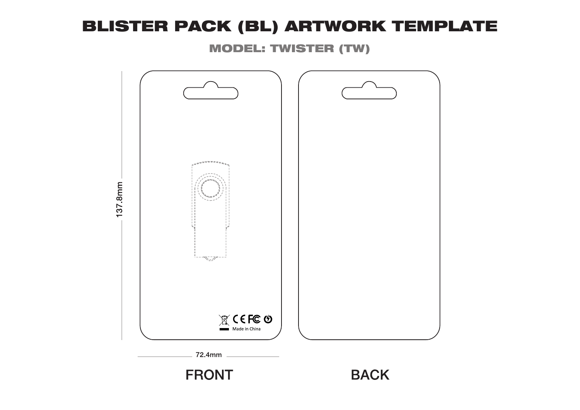MODEL: TWISTER (TW)

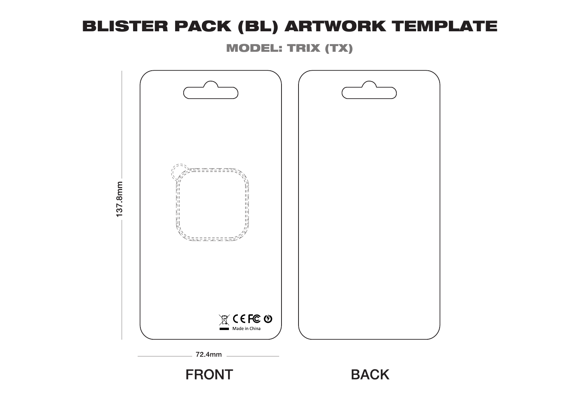MODEL: TRIX (TX)

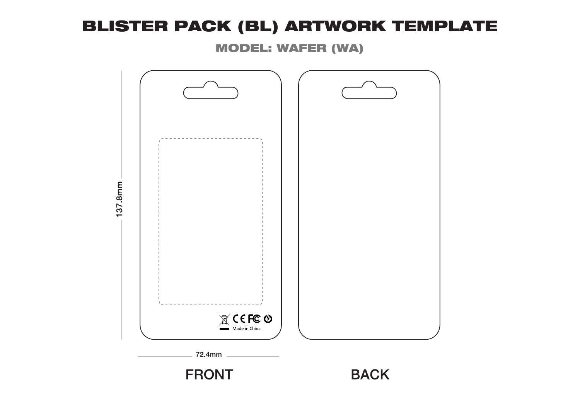MODEL: WAFER (WA)

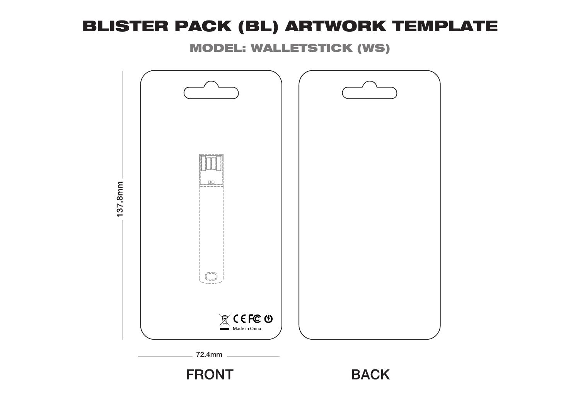MODEL: WALLETSTICK (WS)

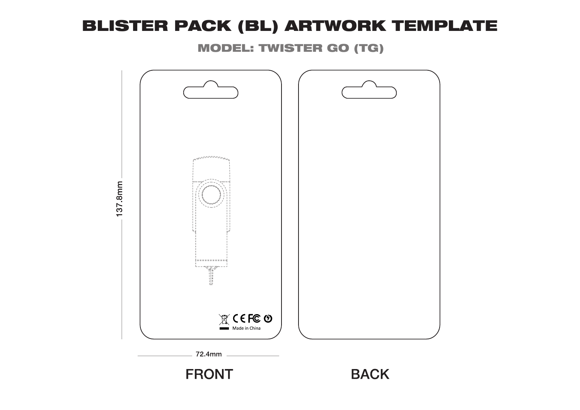MODEL: TWISTER GO (TG)

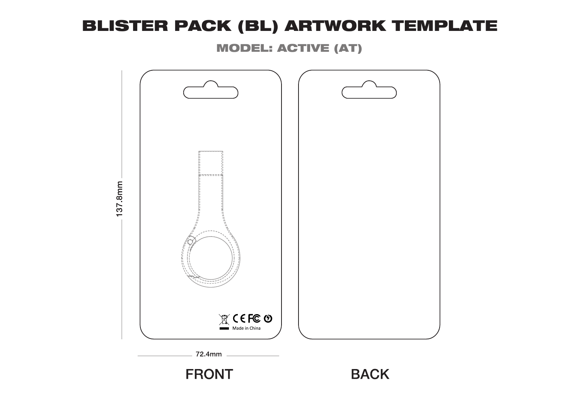MODEL: ACTIVE (AT)

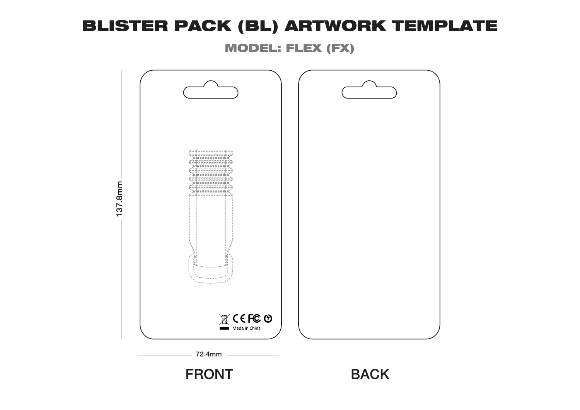MODEL: FLEX (FX)

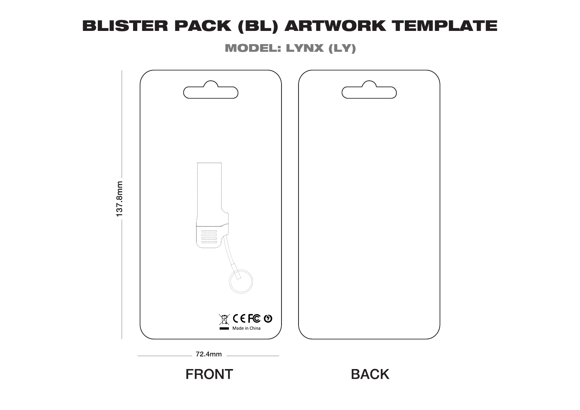MODEL: LYNX (LY)

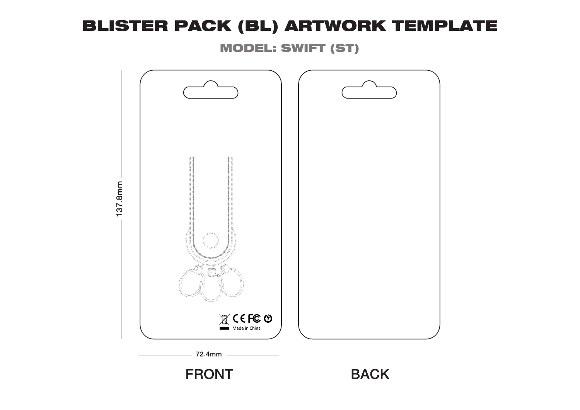MODEL: SWIFT (ST)

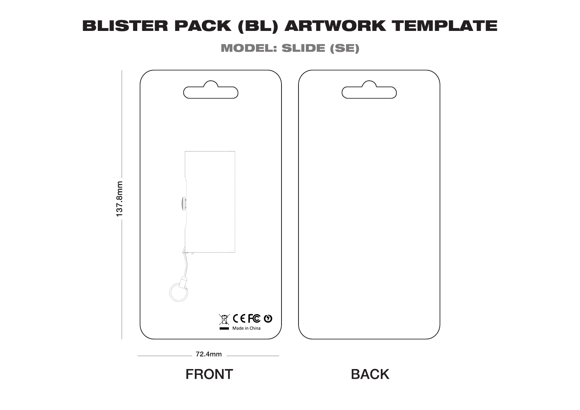MODEL: SLIDE (SE)

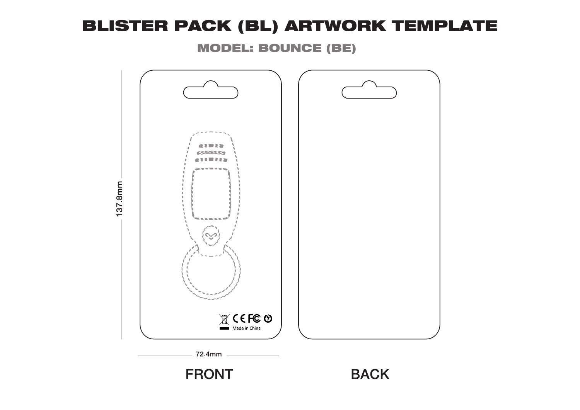MODEL: BOUNCE (BE)

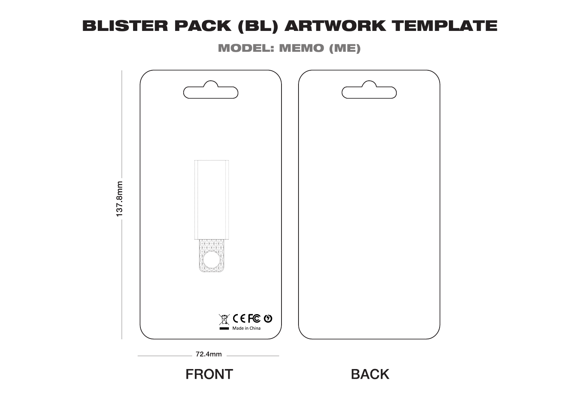MODEL: MEMO (ME)

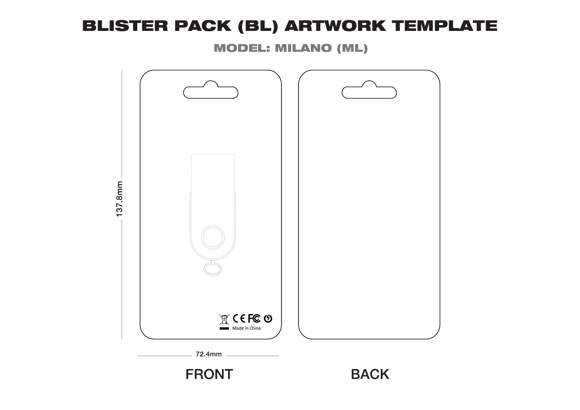MODEL: MILANO (ML)